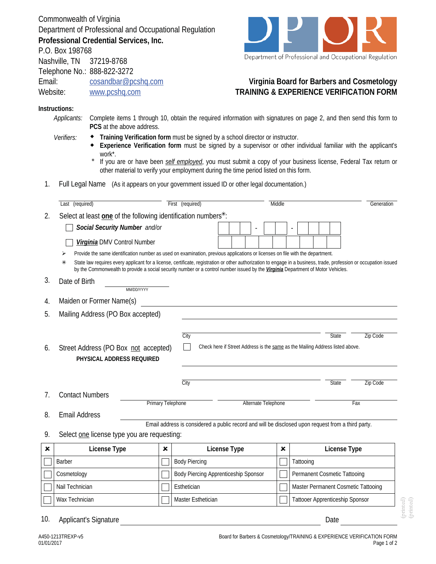Commonwealth of Virginia Department of Professional and Occupational Regulation **Professional Credential Services, Inc.**



Department of Professional and Occupational Regulation

## **Virginia Board for Barbers and Cosmetology TRAINING & EXPERIENCE VERIFICATION FORM**

## **Instructions:**

P.O. Box 198768

Nashville, TN 37219-8768 Telephone No.: 888-822-3272

Website: www.pcshq.com

Email: cosandbar@pcshq.com

- *Applicants:* Complete items 1 through 10, obtain the required information with signatures on page 2, and then send this form to **PCS** at the above address.
- **Training Verification form** must be signed by a school director or instructor. *Verifiers:*
	- **Experience Verification form** must be signed by a supervisor or other individual familiar with the applicant's work\*.  $\blacklozenge$
	- If you are or have been *self employed*, you must submit a copy of your business license, Federal Tax return or other material to verify your employment during the time period listed on this form. \*
- 1. Full Legal Name (As it appears on your government issued ID or other legal documentation.)

|    | Last (required)                                                                                                                                                                                                                                                                                             |                          | First (required)                                                                                   | Middle |                     |   |                                     | Generation   |                                     |
|----|-------------------------------------------------------------------------------------------------------------------------------------------------------------------------------------------------------------------------------------------------------------------------------------------------------------|--------------------------|----------------------------------------------------------------------------------------------------|--------|---------------------|---|-------------------------------------|--------------|-------------------------------------|
| 2. | Select at least one of the following identification numbers <sup>*</sup> :                                                                                                                                                                                                                                  |                          |                                                                                                    |        |                     |   |                                     |              |                                     |
|    | Social Security Number and/or                                                                                                                                                                                                                                                                               |                          |                                                                                                    |        |                     |   |                                     |              |                                     |
|    | Virginia DMV Control Number                                                                                                                                                                                                                                                                                 |                          |                                                                                                    |        |                     |   |                                     |              |                                     |
|    | Provide the same identification number as used on examination, previous applications or licenses on file with the department.                                                                                                                                                                               |                          |                                                                                                    |        |                     |   |                                     |              |                                     |
|    | State law requires every applicant for a license, certificate, registration or other authorization to engage in a business, trade, profession or occupation issued<br>⋇<br>by the Commonwealth to provide a social security number or a control number issued by the Virginia Department of Motor Vehicles. |                          |                                                                                                    |        |                     |   |                                     |              |                                     |
| 3. | Date of Birth<br>MM/DD/YYYY                                                                                                                                                                                                                                                                                 |                          |                                                                                                    |        |                     |   |                                     |              |                                     |
| 4. | Maiden or Former Name(s)                                                                                                                                                                                                                                                                                    |                          |                                                                                                    |        |                     |   |                                     |              |                                     |
| 5. | Mailing Address (PO Box accepted)                                                                                                                                                                                                                                                                           |                          |                                                                                                    |        |                     |   |                                     |              |                                     |
| 6. | Street Address (PO Box not accepted)<br>PHYSICAL ADDRESS REQUIRED                                                                                                                                                                                                                                           |                          | City<br>Check here if Street Address is the same as the Mailing Address listed above.              |        |                     |   |                                     | <b>State</b> | <b>Zip Code</b>                     |
|    |                                                                                                                                                                                                                                                                                                             |                          | City                                                                                               |        |                     |   |                                     | State        | Zip Code                            |
| 7. | <b>Contact Numbers</b>                                                                                                                                                                                                                                                                                      | <b>Primary Telephone</b> |                                                                                                    |        | Alternate Telephone |   |                                     |              | Fax                                 |
| 8. | <b>Email Address</b>                                                                                                                                                                                                                                                                                        |                          |                                                                                                    |        |                     |   |                                     |              |                                     |
|    |                                                                                                                                                                                                                                                                                                             |                          | Email address is considered a public record and will be disclosed upon request from a third party. |        |                     |   |                                     |              |                                     |
| 9. | Select one license type you are requesting:                                                                                                                                                                                                                                                                 |                          |                                                                                                    |        |                     |   |                                     |              |                                     |
| ×  | License Type                                                                                                                                                                                                                                                                                                | x                        | License Type                                                                                       |        |                     | × |                                     | License Type |                                     |
|    | Barber                                                                                                                                                                                                                                                                                                      |                          | <b>Body Piercing</b>                                                                               |        |                     |   | Tattooing                           |              |                                     |
|    |                                                                                                                                                                                                                                                                                                             |                          | Body Piercing Apprenticeship Sponsor                                                               |        |                     |   | <b>Permanent Cosmetic Tattooing</b> |              |                                     |
|    | Cosmetology                                                                                                                                                                                                                                                                                                 |                          |                                                                                                    |        |                     |   |                                     |              |                                     |
|    | Nail Technician                                                                                                                                                                                                                                                                                             |                          | Esthetician                                                                                        |        |                     |   |                                     |              | Master Permanent Cosmetic Tattooing |

(printed) (printed)

10. Applicant's Signature **Date** Date of American School and Date Date Date of American School and Date Date of A